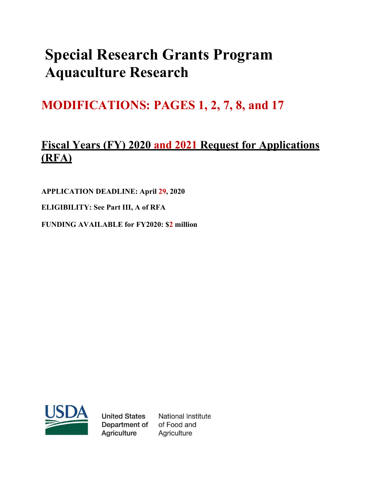# **Special Research Grants Program Aquaculture Research**

## **MODIFICATIONS: PAGES 1, 2, 7, 8, and 17**

### **Fiscal Years (FY) 2020 and 2021 Request for Applications (RFA)**

**APPLICATION DEADLINE: April 29, 2020** 

**ELIGIBILITY: See Part III, A of RFA**

**FUNDING AVAILABLE for FY2020: \$2 million**



**United States** Department of **Agriculture** 

**National Institute** of Food and Agriculture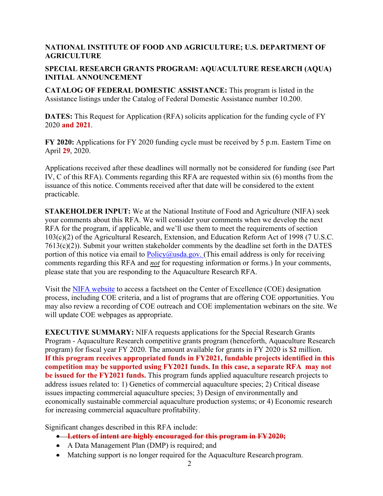#### **NATIONAL INSTITUTE OF FOOD AND AGRICULTURE; U.S. DEPARTMENT OF AGRICULTURE**

#### **SPECIAL RESEARCH GRANTS PROGRAM: AQUACULTURE RESEARCH (AQUA) INITIAL ANNOUNCEMENT**

**CATALOG OF FEDERAL DOMESTIC ASSISTANCE:** This program is listed in the Assistance listings under the Catalog of Federal Domestic Assistance number 10.200.

**DATES:** This Request for Application (RFA) solicits application for the funding cycle of FY 2020 **and 2021**.

**FY 2020:** Applications for FY 2020 funding cycle must be received by 5 p.m. Eastern Time on April **29**, 2020.

Applications received after these deadlines will normally not be considered for funding (see Part IV, C of this RFA). Comments regarding this RFA are requested within six (6) months from the issuance of this notice. Comments received after that date will be considered to the extent practicable.

**STAKEHOLDER INPUT:** We at the National Institute of Food and Agriculture (NIFA) seek your comments about this RFA. We will consider your comments when we develop the next RFA for the program, if applicable, and we'll use them to meet the requirements of section 103(c)(2) of the Agricultural Research, Extension, and Education Reform Act of 1998 (7 U.S.C. 7613(c)(2)). Submit your written stakeholder comments by the deadline set forth in the DATES portion of this notice via email to  $Policy(\hat{a})$ usda.gov. (This email address is only for receiving comments regarding this RFA and *not* for requesting information or forms.) In your comments, please state that you are responding to the Aquaculture Research RFA.

Visit the [NIFA website](https://www.nifa.usda.gov/centers-excellence) to access a factsheet on the Center of Excellence (COE) designation process, including COE criteria, and a list of programs that are offering COE opportunities. You may also review a recording of COE outreach and COE implementation webinars on the site. We will update COE webpages as appropriate.

**EXECUTIVE SUMMARY:** NIFA requests applications for the Special Research Grants Program - Aquaculture Research competitive grants program (henceforth, Aquaculture Research program) for fiscal year FY 2020. The amount available for grants in FY 2020 is \$**2** million. **If this program receives appropriated funds in FY2021, fundable projects identified in this competition may be supported using FY2021 funds. In this case, a separate RFA may not be issued for the FY2021 funds.** This program funds applied aquaculture research projects to address issues related to: 1) Genetics of commercial aquaculture species; 2) Critical disease issues impacting commercial aquaculture species; 3) Design of environmentally and economically sustainable commercial aquaculture production systems; or 4) Economic research for increasing commercial aquaculture profitability.

Significant changes described in this RFA include:

- **Letters of intent are highly encouraged for this program in FY2020;**
- A Data Management Plan (DMP) is required; and
- Matching support is no longer required for the Aquaculture Research program.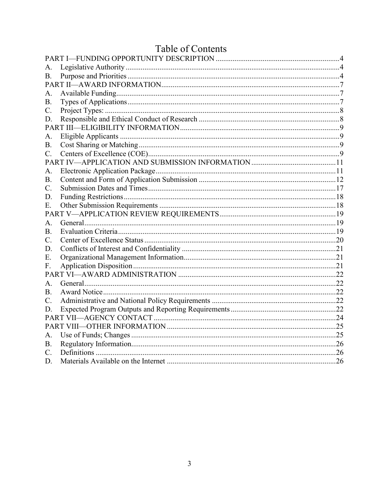|                 | Lable of Contents |  |
|-----------------|-------------------|--|
|                 |                   |  |
| A.              |                   |  |
| <b>B.</b>       |                   |  |
|                 |                   |  |
| A.              |                   |  |
| <b>B.</b>       |                   |  |
| $\mathbf{C}$ .  |                   |  |
| D.              |                   |  |
|                 |                   |  |
| А.              |                   |  |
| В.              |                   |  |
| $\mathcal{C}$ . |                   |  |
|                 |                   |  |
| A.              |                   |  |
| <b>B.</b>       |                   |  |
| C.              |                   |  |
| D.              |                   |  |
| Е.              |                   |  |
|                 |                   |  |
| Α.              |                   |  |
| B.              |                   |  |
| C.              |                   |  |
| D.              |                   |  |
| Ε.              |                   |  |
| F.              |                   |  |
|                 |                   |  |
| A.              |                   |  |
| В.              |                   |  |
| $\mathcal{C}$ . |                   |  |
| D.              |                   |  |
|                 |                   |  |
|                 |                   |  |
| А.              |                   |  |
| В.              |                   |  |
| C.              |                   |  |
| D.              |                   |  |

#### $1.1$  $\mathfrak{c}$   $\cap$  $\ddot{\phantom{1}}$  $\overline{1}$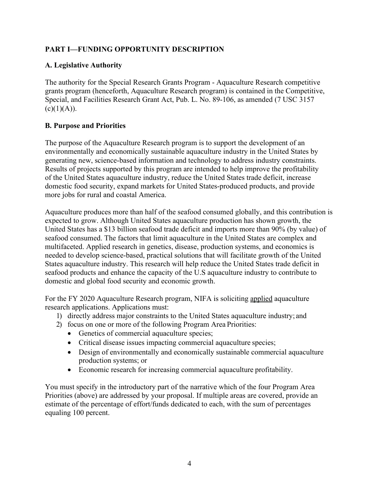#### <span id="page-3-0"></span>**PART I—FUNDING OPPORTUNITY DESCRIPTION**

#### <span id="page-3-1"></span>**A. Legislative Authority**

The authority for the Special Research Grants Program - Aquaculture Research competitive grants program (henceforth, Aquaculture Research program) is contained in the Competitive, Special, and Facilities Research Grant Act, Pub. L. No. 89-106, as amended (7 USC 3157  $(c)(1)(A)).$ 

#### <span id="page-3-2"></span>**B. Purpose and Priorities**

The purpose of the Aquaculture Research program is to support the development of an environmentally and economically sustainable aquaculture industry in the United States by generating new, science-based information and technology to address industry constraints. Results of projects supported by this program are intended to help improve the profitability of the United States aquaculture industry, reduce the United States trade deficit, increase domestic food security, expand markets for United States-produced products, and provide more jobs for rural and coastal America.

Aquaculture produces more than half of the seafood consumed globally, and this contribution is expected to grow. Although United States aquaculture production has shown growth, the United States has a \$13 billion seafood trade deficit and imports more than 90% (by value) of seafood consumed. The factors that limit aquaculture in the United States are complex and multifaceted. Applied research in genetics, disease, production systems, and economics is needed to develop science-based, practical solutions that will facilitate growth of the United States aquaculture industry. This research will help reduce the United States trade deficit in seafood products and enhance the capacity of the U.S aquaculture industry to contribute to domestic and global food security and economic growth.

For the FY 2020 Aquaculture Research program, NIFA is soliciting applied aquaculture research applications. Applications must:

- 1) directly address major constraints to the United States aquaculture industry; and
- 2) focus on one or more of the following Program Area Priorities:
	- Genetics of commercial aquaculture species;
	- Critical disease issues impacting commercial aquaculture species;
	- Design of environmentally and economically sustainable commercial aquaculture production systems; or
	- Economic research for increasing commercial aquaculture profitability.

You must specify in the introductory part of the narrative which of the four Program Area Priorities (above) are addressed by your proposal. If multiple areas are covered, provide an estimate of the percentage of effort/funds dedicated to each, with the sum of percentages equaling 100 percent.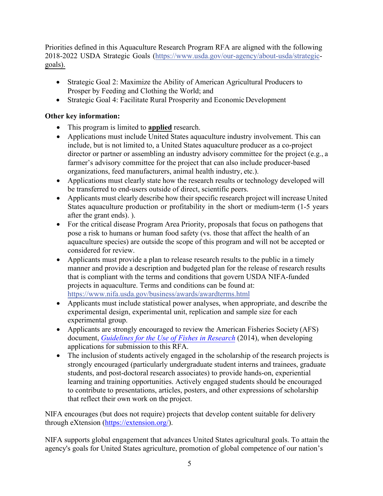Priorities defined in this Aquaculture Research Program RFA are aligned with the following 2018-2022 USDA Strategic Goals [\(https://www.usda.gov](https://www.usda.gov/our-agency/about-usda/strategic-goals)/our[-agency/about-usda/strategic](http://www.usda.gov/our-agency/about-usda/strategic-goals)[goals](https://www.usda.gov/our-agency/about-usda/strategic-goals)).

- Strategic Goal 2: Maximize the Ability of American Agricultural Producers to Prosper by Feeding and Clothing the World; and
- Strategic Goal 4: Facilitate Rural Prosperity and Economic Development

#### **Other key information:**

- This program is limited to **applied** research.
- Applications must include United States aquaculture industry involvement. This can include, but is not limited to, a United States aquaculture producer as a co-project director or partner or assembling an industry advisory committee for the project (e.g., a farmer's advisory committee for the project that can also include producer-based organizations, feed manufacturers, animal health industry, etc.).
- Applications must clearly state how the research results or technology developed will be transferred to end-users outside of direct, scientific peers.
- Applicants must clearly describe how their specific research project will increase United States aquaculture production or profitability in the short or medium-term (1-5 years after the grant ends). ).
- For the critical disease Program Area Priority, proposals that focus on pathogens that pose a risk to humans or human food safety (vs. those that affect the health of an aquaculture species) are outside the scope of this program and will not be accepted or considered for review.
- Applicants must provide a plan to release research results to the public in a timely manner and provide a description and budgeted plan for the release of research results that is compliant with the terms and conditions that govern USDA NIFA-funded projects in aquaculture. Terms and conditions can be found at: [https://www.nifa.usda.go](https://www.nifa.usda.gov/business/awards/awardterms.html)v/busi[ness/awards/awardterms.html](https://nifa.usda.gov/business/awards/awardterms.html)
- Applicants must include statistical power analyses, when appropriate, and describe the experimental design, experimental unit, replication and sample size for each experimental group.
- Applicants are strongly encouraged to review the American Fisheries Society (AFS) document, *[Guidelines for the Use of Fishes in Research](https://fisheries.org/docs/wp/Guidelines-for-Use-of-Fishes.pdf)* (2014), when developing applications for submission to this RFA.
- The inclusion of students actively engaged in the scholarship of the research projects is strongly encouraged (particularly undergraduate student interns and trainees, graduate students, and post-doctoral research associates) to provide hands-on, experiential learning and training opportunities. Actively engaged students should be encouraged to contribute to presentations, articles, posters, and other expressions of scholarship that reflect their own work on the project.

NIFA encourages (but does not require) projects that develop content suitable for delivery through eXtension [\(https://extension.org/\)](https://extension.org/).

NIFA supports global engagement that advances United States agricultural goals. To attain the agency's goals for United States agriculture, promotion of global competence of our nation's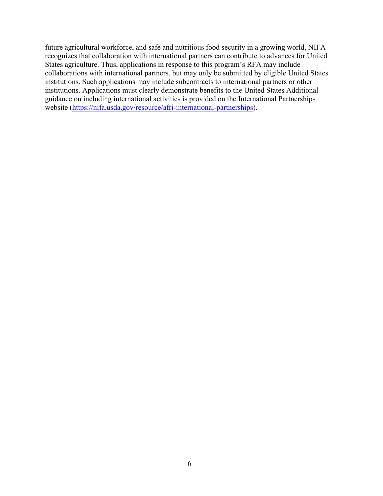future agricultural workforce, and safe and nutritious food security in a growing world, NIFA recognizes that collaboration with international partners can contribute to advances for United States agriculture. Thus, applications in response to this program's RFA may include collaborations with international partners, but may only be submitted by eligible United States institutions. Such applications may include subcontracts to international partners or other institutions. Applications must clearly demonstrate benefits to the United States Additional guidance on including international activities is provided on the International Partnerships website [\(https://nifa.usda.gov/resource/afri-international-partnerships\)](https://nifa.usda.gov/resource/afri-international-partnerships).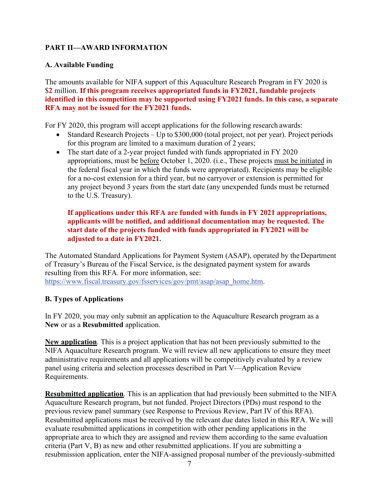#### <span id="page-6-0"></span>**PART II—AWARD INFORMATION**

#### <span id="page-6-1"></span>**A. Available Funding**

The amounts available for NIFA support of this Aquaculture Research Program in FY 2020 is \$**2** million. **If this program receives appropriated funds in FY2021, fundable projects identified in this competition may be supported using FY2021 funds. In this case, a separate RFA may not be issued for the FY2021 funds.**

For FY 2020, this program will accept applications for the following research awards:

- Standard Research Projects Up to \$300,000 (total project, not per year). Project periods for this program are limited to a maximum duration of 2 years;
- The start date of a 2-year project funded with funds appropriated in FY 2020 appropriations, must be before October 1, 2020. (i.e., These projects must be initiated in the federal fiscal year in which the funds were appropriated). Recipients may be eligible for a no-cost extension for a third year, but no carryover or extension is permitted for any project beyond 3 years from the start date (any unexpended funds must be returned to the U.S. Treasury).

#### **If applications under this RFA are funded with funds in FY 2021 appropriations, applicants will be notified, and additional documentation may be requested. The start date of the projects funded with funds appropriated in FY2021 will be adjusted to a date in FY2021.**

The Automated Standard Applications for Payment System (ASAP), operated by the Department of Treasury's Bureau of the Fiscal Service, is the designated payment system for awards resulting from this RFA. For more information, see: [https://www.fiscal.treasur](http://www.fiscal.treasury.gov/fsservices/gov/pmt/asap/asap_home.htm)y.[gov/fsservices/gov/pmt/asap/asap\\_home.htm.](http://www.fiscal.treasury.gov/fsservices/gov/pmt/asap/asap_home.htm)

#### <span id="page-6-2"></span>**B. Types of Applications**

In FY 2020, you may only submit an application to the Aquaculture Research program as a **New** or as a **Resubmitted** application.

**New application**. This is a project application that has not been previously submitted to the NIFA Aquaculture Research program. We will review all new applications to ensure they meet administrative requirements and all applications will be competitively evaluated by a review panel using criteria and selection processes described in Part V—Application Review Requirements.

**Resubmitted application**. This is an application that had previously been submitted to the NIFA Aquaculture Research program, but not funded. Project Directors (PDs) must respond to the previous review panel summary (see Response to Previous Review, Part IV of this RFA). Resubmitted applications must be received by the relevant due dates listed in this RFA. We will evaluate resubmitted applications in competition with other pending applications in the appropriate area to which they are assigned and review them according to the same evaluation criteria (Part V, B) as new and other resubmitted applications. If you are submitting a resubmission application, enter the NIFA-assigned proposal number of the previously-submitted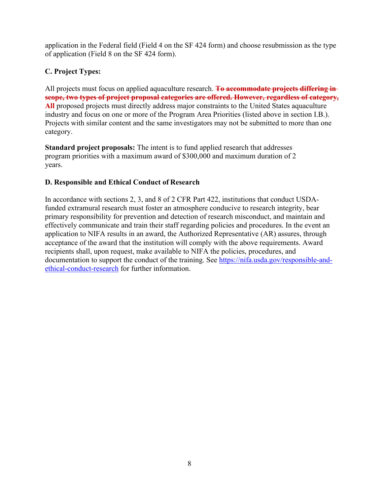application in the Federal field (Field 4 on the SF 424 form) and choose resubmission as the type of application (Field 8 on the SF 424 form).

#### <span id="page-7-0"></span>**C. Project Types:**

All projects must focus on applied aquaculture research. **To accommodate projects differing in scope, two types of project proposal categories are offered. However, regardless of category, All** proposed projects must directly address major constraints to the United States aquaculture industry and focus on one or more of the Program Area Priorities (listed above in section I.B.). Projects with similar content and the same investigators may not be submitted to more than one category.

**Standard project proposals:** The intent is to fund applied research that addresses program priorities with a maximum award of \$300,000 and maximum duration of 2 years.

#### <span id="page-7-1"></span>**D. Responsible and Ethical Conduct of Research**

In accordance with sections 2, 3, and 8 of 2 CFR Part 422, institutions that conduct USDAfunded extramural research must foster an atmosphere conducive to research integrity, bear primary responsibility for prevention and detection of research misconduct, and maintain and effectively communicate and train their staff regarding policies and procedures. In the event an application to NIFA results in an award, the Authorized Representative (AR) assures, through acceptance of the award that the institution will comply with the above requirements. Award recipients shall, upon request, make available to NIFA the policies, procedures, and documentation to support the conduct of the training. See [https://nifa.usda.gov/responsible-and](https://nifa.usda.gov/responsible-and-ethical-conduct-research)[ethical-conduct-research](https://nifa.usda.gov/responsible-and-ethical-conduct-research) for further information.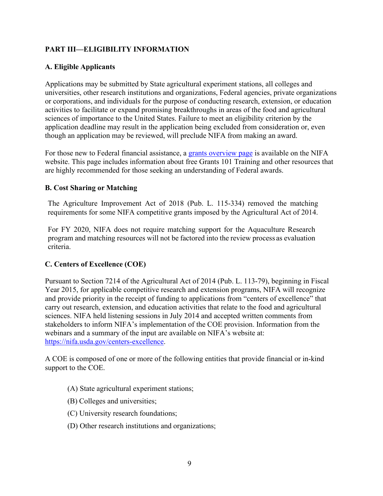#### <span id="page-8-0"></span>**PART III—ELIGIBILITY INFORMATION**

#### <span id="page-8-1"></span>**A. Eligible Applicants**

Applications may be submitted by State agricultural experiment stations, all colleges and universities, other research institutions and organizations, Federal agencies, private organizations or corporations, and individuals for the purpose of conducting research, extension, or education activities to facilitate or expand promising breakthroughs in areas of the food and agricultural sciences of importance to the United States. Failure to meet an eligibility criterion by the application deadline may result in the application being excluded from consideration or, even though an application may be reviewed, will preclude NIFA from making an award.

For those new to Federal financial assistance, a [grants overview page](https://nifa.usda.gov/resource/grants-overview) is available on the NIFA website. This page includes information about free Grants 101 Training and other resources that are highly recommended for those seeking an understanding of Federal awards.

#### <span id="page-8-2"></span>**B. Cost Sharing or Matching**

The Agriculture Improvement Act of 2018 (Pub. L. 115-334) removed the matching requirements for some NIFA competitive grants imposed by the Agricultural Act of 2014.

For FY 2020, NIFA does not require matching support for the Aquaculture Research program and matching resources will not be factored into the review process as evaluation criteria.

#### <span id="page-8-3"></span>**C. Centers of Excellence (COE)**

Pursuant to Section 7214 of the Agricultural Act of 2014 (Pub. L. 113-79), beginning in Fiscal Year 2015, for applicable competitive research and extension programs, NIFA will recognize and provide priority in the receipt of funding to applications from "centers of excellence" that carry out research, extension, and education activities that relate to the food and agricultural sciences. NIFA held listening sessions in July 2014 and accepted written comments from stakeholders to inform NIFA's implementation of the COE provision. Information from the webinars and a summary of the input are available on NIFA's website at: [https://nifa.usda.gov/centers-excellence.](https://nifa.usda.gov/centers-excellence)

A COE is composed of one or more of the following entities that provide financial or in-kind support to the COE.

- (A) State agricultural experiment stations;
- (B) Colleges and universities;
- (C) University research foundations;
- (D) Other research institutions and organizations;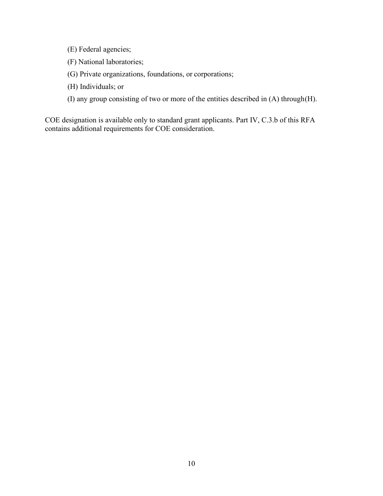- (E) Federal agencies;
- (F) National laboratories;
- (G) Private organizations, foundations, or corporations;
- (H) Individuals; or
- (I) any group consisting of two or more of the entities described in (A) through(H).

COE designation is available only to standard grant applicants. Part IV, C.3.b of this RFA contains additional requirements for COE consideration.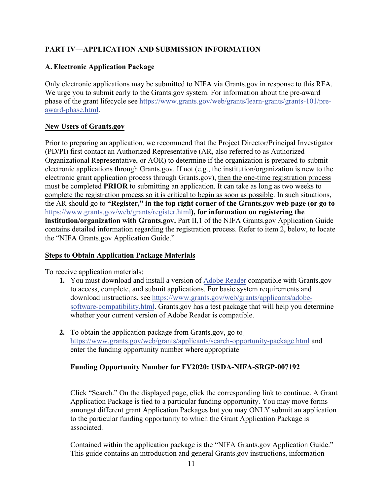### <span id="page-10-0"></span>**PART IV—APPLICATION AND SUBMISSION INFORMATION**

#### <span id="page-10-1"></span>**A. Electronic Application Package**

Only electronic applications may be submitted to NIFA via Grants.gov in response to this RFA. We urge you to submit early to the Grants.gov system. For information about the pre-award phase of the grant lifecycle se[e https://www.grants.gov/web/grants/learn-](https://www.grants.gov/web/grants/learn-grants/grants-101/pre-award-phase.html)[grants/gr](http://www.grants.gov/web/grants/learn-grants/grants-101/pre-)[ants-101/pre](https://www.grants.gov/web/grants/learn-grants/grants-101/pre-award-phase.html)award-phase.html.

#### **New Users of Grants.gov**

Prior to preparing an application, we recommend that the Project Director/Principal Investigator (PD/PI) first contact an Authorized Representative (AR, also referred to as Authorized Organizational Representative, or AOR) to determine if the organization is prepared to submit electronic applications through Grants.gov. If not (e.g., the institution/organization is new to the electronic grant application process through Grants.gov), then the one-time registration process must be completed **PRIOR** to submitting an application. It can take as long as two weeks to complete the registration process so it is critical to begin as soon as possible. In such situations, the AR should go to **"Register," in the top right corner of the Grants.gov web page (or go to**  [https://www.gr](http://www.grants.gov/web/grants/register.html)ants.[gov/web/grants/reg](http://www.grants.gov/web/grants/register.html))[ister.html](http://www.grants.gov/web/grants/register.html)**), for information on registering the institution/organization with Grants.gov.** Part II,1 of the NIFA Grants.gov Application Guide contains detailed information regarding the registration process. Refer to item 2, below, to locate the "NIFA Grants.gov Application Guide."

#### **Steps to Obtain Application Package Materials**

To receive application materials:

- **1.** You must download and install a version of Adobe Reader compatible with Grants.gov to access, complete, and submit applications. For basic system requirements and download instructions, see https[://www.grants.gov/web/grants/applicants/adobe](https://www.grants.gov/web/grants/applicants/adobe-software-compatibility.html)software-compatibility.html. Grants.gov has a test package that will help you determine whether your current version of Adobe Reader is compatible.
- **2.** To obtain the application package from Grants.gov, go t[o](http://www.grants.gov/web/grants/applicants/search-opportunity-package.html) [https://www.gr](http://www.grants.gov/web/grants/applicants/search-opportunity-package.html)ants.[gov/web/grants/applicants/se](http://www.grants.gov/web/grants/applicants/search-opportunity-package.html)[arch-opportunity-package.html](https://www.grants.gov/web/grants/applicants/search-opportunity-package.html) and enter the funding opportunity number where appropriate

#### **Funding Opportunity Number for FY2020: USDA-NIFA-SRGP-007192**

Click "Search." On the displayed page, click the corresponding link to continue. A Grant Application Package is tied to a particular funding opportunity. You may move forms amongst different grant Application Packages but you may ONLY submit an application to the particular funding opportunity to which the Grant Application Package is associated.

Contained within the application package is the "NIFA Grants.gov Application Guide." This guide contains an introduction and general Grants.gov instructions, information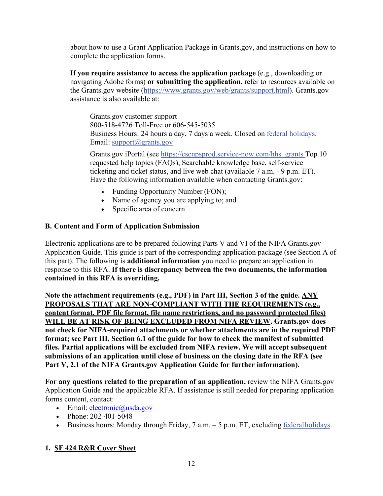about how to use a Grant Application Package in Grants.gov, and instructions on how to complete the application forms.

**If you require assistance to access the application package** (e.g., downloading or navigating Adobe forms) **or submitting the application,** refer to resources available on the Grants.gov website [\(https://www.gr](http://www.grants.gov/web/grants/support.html)ants.[gov/web/grants/support.html\).](http://www.grants.gov/web/grants/support.html) Grants.gov assistance is also available at:

Grants.gov customer support 800-518-4726 Toll-Free or 606-545-5035 Business Hours: 24 hours a day, 7 days a week. Closed on federal holidays. Email: [support@grants.gov](mailto:support@grants.gov)

Grants.gov iPortal (see https://cscnpsprod.service-now.com/hhs\_grants Top 10 requested help topics (FAQs), Searchable knowledge base, self-service ticketing and ticket status, and live web chat (available 7 a.m. - 9 p.m. ET). Have the following information available when contacting Grants.gov:

- Funding Opportunity Number (FON);
- Name of agency you are applying to; and
- Specific area of concern

#### <span id="page-11-0"></span>**B. Content and Form of Application Submission**

Electronic applications are to be prepared following Parts V and VI of the NIFA Grants.gov Application Guide. This guide is part of the corresponding application package (see Section A of this part). The following is **additional information** you need to prepare an application in response to this RFA. **If there is discrepancy between the two documents, the information contained in this RFA is overriding.**

**Note the attachment requirements (e.g., PDF) in Part III, Section 3 of the guide. ANY PROPOSALS THAT ARE NON-COMPLIANT WITH THE REQUIREMENTS (e.g., content format, PDF file format, file name restrictions, and no password protected files) WILL BE AT RISK OF BEING EXCLUDED FROM NIFA REVIEW. Grants.gov does not check for NIFA-required attachments or whether attachments are in the required PDF format; see Part III, Section 6.1 of the guide for how to check the manifest of submitted files. Partial applications will be excluded from NIFA review. We will accept subsequent submissions of an application until close of business on the closing date in the RFA (see Part V, 2.1 of the NIFA Grants.gov Application Guide for further information).**

**For any questions related to the preparation of an application,** review the NIFA Grants.gov Application Guide and the applicable RFA. If assistance is still needed for preparing application forms content, contact:

- Email:  $\text{electronic@usda.gov}$  $\text{electronic@usda.gov}$  $\text{electronic@usda.gov}$
- Phone: 202-401-5048
- Business hours: Monday through Friday,  $7$  a.m.  $-5$  p.m. ET, excluding federal holidays.

#### **1. SF 424 R&R Cover Sheet**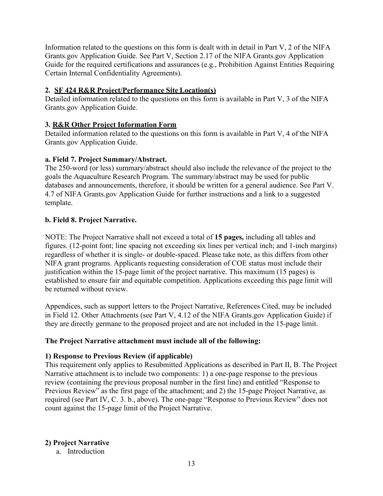Information related to the questions on this form is dealt with in detail in Part V, 2 of the NIFA Grants.gov Application Guide. See Part V, Section 2.17 of the NIFA Grants.gov Application Guide for the required certifications and assurances (e.g., Prohibition Against Entities Requiring Certain Internal Confidentiality Agreements).

#### **2. SF 424 R&R Project/Performance Site Location(s)**

Detailed information related to the questions on this form is available in Part V, 3 of the NIFA Grants.gov Application Guide.

#### **3. R&R Other Project Information Form**

Detailed information related to the questions on this form is available in Part V, 4 of the NIFA Grants.gov Application Guide.

#### **a. Field 7. Project Summary/Abstract.**

The 250-word (or less) summary/abstract should also include the relevance of the project to the goals the Aquaculture Research Program. The summary/abstract may be used for public databases and announcements, therefore, it should be written for a general audience. See Part V. 4.7 of NIFA Grants.gov Application Guide for further instructions and a link to a suggested template.

#### **b. Field 8. Project Narrative.**

NOTE: The Project Narrative shall not exceed a total of **15 pages,** including all tables and figures. (12-point font; line spacing not exceeding six lines per vertical inch; and 1-inch margins) regardless of whether it is single- or double-spaced. Please take note, as this differs from other NIFA grant programs. Applicants requesting consideration of COE status must include their justification within the 15-page limit of the project narrative. This maximum (15 pages) is established to ensure fair and equitable competition. Applications exceeding this page limit will be returned without review.

Appendices, such as support letters to the Project Narrative, References Cited, may be included in Field 12. Other Attachments (see Part V, 4.12 of the NIFA Grants.gov Application Guide) if they are directly germane to the proposed project and are not included in the 15-page limit.

#### **The Project Narrative attachment must include all of the following:**

#### **1) Response to Previous Review (if applicable)**

This requirement only applies to Resubmitted Applications as described in Part II, B. The Project Narrative attachment is to include two components: 1) a one-page response to the previous review (containing the previous proposal number in the first line) and entitled "Response to Previous Review" as the first page of the attachment; and 2) the 15-page Project Narrative, as required (see Part IV, C. 3. b., above). The one-page "Response to Previous Review" does not count against the 15-page limit of the Project Narrative.

#### **2) Project Narrative**

a. Introduction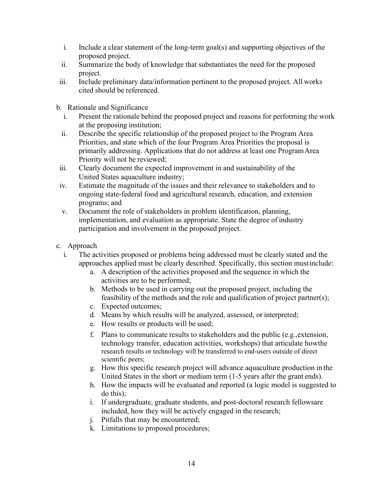- i. Include a clear statement of the long-term goal(s) and supporting objectives of the proposed project.
- ii. Summarize the body of knowledge that substantiates the need for the proposed project.
- iii. Include preliminary data/information pertinent to the proposed project. All works cited should be referenced.
- b. Rationale and Significance
	- i. Present the rationale behind the proposed project and reasons for performing the work at the proposing institution;
	- ii. Describe the specific relationship of the proposed project to the Program Area Priorities, and state which of the four Program Area Priorities the proposal is primarily addressing. Applications that do not address at least one ProgramArea Priority will not be reviewed;
- iii. Clearly document the expected improvement in and sustainability of the United States aquaculture industry;
- iv. Estimate the magnitude of the issues and their relevance to stakeholders and to ongoing state-federal food and agricultural research, education, and extension programs; and
- v. Document the role of stakeholders in problem identification, planning, implementation, and evaluation as appropriate. State the degree of industry participation and involvement in the proposed project.
- c. Approach
	- i. The activities proposed or problems being addressed must be clearly stated and the approaches applied must be clearly described. Specifically, this section mustinclude:
		- a. A description of the activities proposed and the sequence in which the activities are to be performed;
		- b. Methods to be used in carrying out the proposed project, including the feasibility of the methods and the role and qualification of project partner(s);
		- c. Expected outcomes;
		- d. Means by which results will be analyzed, assessed, or interpreted;
		- e. How results or products will be used;
		- f. Plans to communicate results to stakeholders and the public (e.g., extension, technology transfer, education activities, workshops) that articulate howthe research results or technology will be transferred to end-users outside of direct scientific peers;
		- g. How this specific research project will advance aquaculture production in the United States in the short or medium term (1-5 years after the grant ends).
		- h. How the impacts will be evaluated and reported (a logic model is suggested to do this);
		- i. If undergraduate, graduate students, and post-doctoral research fellowsare included, how they will be actively engaged in the research;
		- j. Pitfalls that may be encountered;
		- k. Limitations to proposed procedures;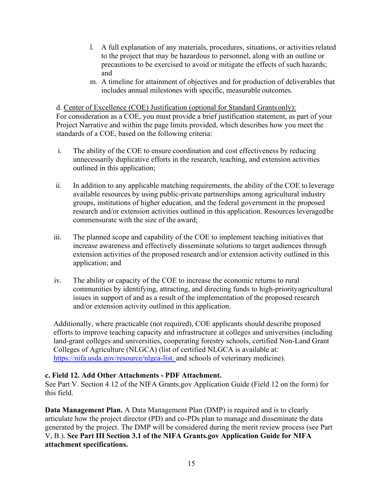- l. A full explanation of any materials, procedures, situations, or activitiesrelated to the project that may be hazardous to personnel, along with an outline or precautions to be exercised to avoid or mitigate the effects of such hazards; and
- m. A timeline for attainment of objectives and for production of deliverables that includes annual milestones with specific, measurable outcomes.

d. Center of Excellence (COE) Justification (optional for Standard Grantsonly): For consideration as a COE, you must provide a brief justification statement, as part of your Project Narrative and within the page limits provided, which describes how you meet the standards of a COE, based on the following criteria:

- i. The ability of the COE to ensure coordination and cost effectiveness by reducing unnecessarily duplicative efforts in the research, teaching, and extension activities outlined in this application;
- ii. In addition to any applicable matching requirements, the ability of the COE to leverage available resources by using public-private partnerships among agricultural industry groups, institutions of higher education, and the federal government in the proposed research and/or extension activities outlined in this application. Resources leveragedbe commensurate with the size of the award;
- iii. The planned scope and capability of the COE to implement teaching initiatives that increase awareness and effectively disseminate solutions to target audiences through extension activities of the proposed research and/or extension activity outlined in this application; and
- iv. The ability or capacity of the COE to increase the economic returns to rural communities by identifying, attracting, and directing funds to high-priorityagricultural issues in support of and as a result of the implementation of the proposed research and/or extension activity outlined in this application.

Additionally, where practicable (not required), COE applicants should describe proposed efforts to improve teaching capacity and infrastructure at colleges and universities (including land-grant colleges and universities, cooperating forestry schools, certified Non-Land Grant Colleges of Agriculture (NLGCA) (list of certified NLGCA is available at: [https://nifa.usda.gov/resource/nlgca-list,](https://nifa.usda.gov/resource/nlgca-list) and schools of veterinary medicine).

#### **c. Field 12. Add Other Attachments - PDF Attachment.**

See Part V. Section 4.12 of the NIFA Grants.gov Application Guide (Field 12 on the form) for this field.

**Data Management Plan.** A Data Management Plan (DMP) is required and is to clearly articulate how the project director (PD) and co-PDs plan to manage and disseminate the data generated by the project. The DMP will be considered during the merit review process (see Part V, B.). **See Part III Section 3.1 of the NIFA Grants.gov Application Guide for NIFA attachment specifications.**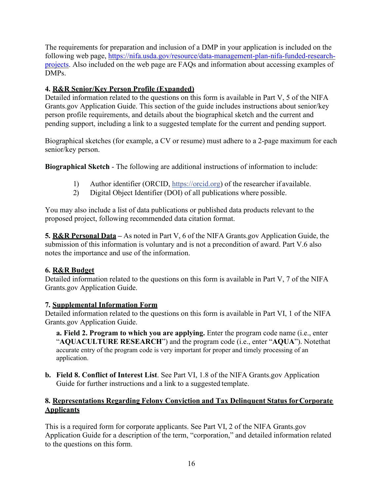The requirements for preparation and inclusion of a DMP in your application is included on the following web page, [https://nifa.usda.gov/resource/data-management-plan-nifa-funded-research](https://nifa.usda.gov/resource/data-management-plan-nifa-funded-research-projects)[projects.](https://nifa.usda.gov/resource/data-management-plan-nifa-funded-research-projects) Also included on the web page are FAQs and information about accessing examples of DMPs.

#### **4. R&R Senior/Key Person Profile (Expanded)**

Detailed information related to the questions on this form is available in Part V, 5 of the NIFA Grants.gov Application Guide. This section of the guide includes instructions about senior/key person profile requirements, and details about the biographical sketch and the current and pending support, including a link to a suggested template for the current and pending support.

Biographical sketches (for example, a CV or resume) must adhere to a 2-page maximum for each senior/key person.

**Biographical Sketch** - The following are additional instructions of information to include:

- 1) Author identifier (ORCID, https://orcid.org) of the researcher if available.
- 2) Digital Object Identifier (DOI) of all publications where possible.

You may also include a list of data publications or published data products relevant to the proposed project, following recommended data citation format.

**5. R&R Personal Data –** As noted in Part V, 6 of the NIFA Grants.gov Application Guide, the submission of this information is voluntary and is not a precondition of award. Part V.6 also notes the importance and use of the information.

#### **6. R&R Budget**

Detailed information related to the questions on this form is available in Part V, 7 of the NIFA Grants.gov Application Guide.

#### **7. Supplemental Information Form**

Detailed information related to the questions on this form is available in Part VI, 1 of the NIFA Grants.gov Application Guide.

**a. Field 2. Program to which you are applying.** Enter the program code name (i.e., enter "**AQUACULTURE RESEARCH**") and the program code (i.e., enter "**AQUA**"). Notethat accurate entry of the program code is very important for proper and timely processing of an application.

**b. Field 8. Conflict of Interest List**. See Part VI, 1.8 of the NIFA Grants.gov Application Guide for further instructions and a link to a suggested template.

#### **8. Representations Regarding Felony Conviction and Tax Delinquent Status forCorporate Applicants**

This is a required form for corporate applicants. See Part VI, 2 of the NIFA Grants.gov Application Guide for a description of the term, "corporation," and detailed information related to the questions on this form.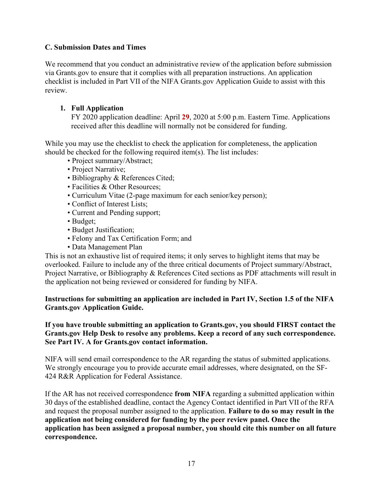#### <span id="page-16-0"></span>**C. Submission Dates and Times**

We recommend that you conduct an administrative review of the application before submission via Grants.gov to ensure that it complies with all preparation instructions. An application checklist is included in Part VII of the NIFA Grants.gov Application Guide to assist with this review.

#### **1. Full Application**

FY 2020 application deadline: April **29**, 2020 at 5:00 p.m. Eastern Time. Applications received after this deadline will normally not be considered for funding.

While you may use the checklist to check the application for completeness, the application should be checked for the following required item(s). The list includes:

- Project summary/Abstract;
- Project Narrative;
- Bibliography & References Cited;
- Facilities & Other Resources;
- Curriculum Vitae (2-page maximum for each senior/key person);
- Conflict of Interest Lists;
- Current and Pending support;
- Budget;
- Budget Justification;
- Felony and Tax Certification Form; and
- Data Management Plan

This is not an exhaustive list of required items; it only serves to highlight items that may be overlooked. Failure to include any of the three critical documents of Project summary/Abstract, Project Narrative, or Bibliography & References Cited sections as PDF attachments will result in the application not being reviewed or considered for funding by NIFA.

#### **Instructions for submitting an application are included in Part IV, Section 1.5 of the NIFA Grants.gov Application Guide.**

#### **If you have trouble submitting an application to Grants.gov, you should FIRST contact the Grants.gov Help Desk to resolve any problems. Keep a record of any such correspondence. See Part IV. A for Grants.gov contact information.**

NIFA will send email correspondence to the AR regarding the status of submitted applications. We strongly encourage you to provide accurate email addresses, where designated, on the SF-424 R&R Application for Federal Assistance.

If the AR has not received correspondence **from NIFA** regarding a submitted application within 30 days of the established deadline, contact the Agency Contact identified in Part VII of the RFA and request the proposal number assigned to the application. **Failure to do so may result in the application not being considered for funding by the peer review panel. Once the application has been assigned a proposal number, you should cite this number on all future correspondence.**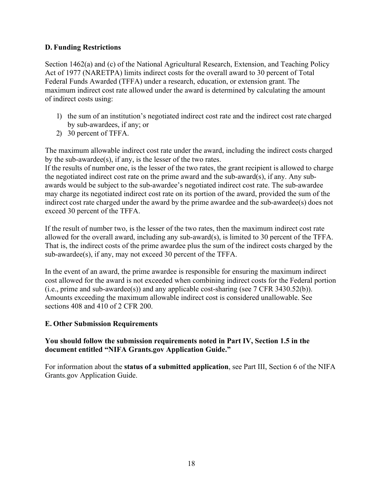#### <span id="page-17-0"></span>**D. Funding Restrictions**

Section 1462(a) and (c) of the National Agricultural Research, Extension, and Teaching Policy Act of 1977 (NARETPA) limits indirect costs for the overall award to 30 percent of Total Federal Funds Awarded (TFFA) under a research, education, or extension grant. The maximum indirect cost rate allowed under the award is determined by calculating the amount of indirect costs using:

- 1) the sum of an institution's negotiated indirect cost rate and the indirect cost rate charged by sub-awardees, if any; or
- 2) 30 percent of TFFA.

The maximum allowable indirect cost rate under the award, including the indirect costs charged by the sub-awardee(s), if any, is the lesser of the two rates.

If the results of number one, is the lesser of the two rates, the grant recipient is allowed to charge the negotiated indirect cost rate on the prime award and the sub-award(s), if any. Any subawards would be subject to the sub-awardee's negotiated indirect cost rate. The sub-awardee may charge its negotiated indirect cost rate on its portion of the award, provided the sum of the indirect cost rate charged under the award by the prime awardee and the sub-awardee(s) does not exceed 30 percent of the TFFA.

If the result of number two, is the lesser of the two rates, then the maximum indirect cost rate allowed for the overall award, including any sub-award(s), is limited to 30 percent of the TFFA. That is, the indirect costs of the prime awardee plus the sum of the indirect costs charged by the sub-awardee(s), if any, may not exceed 30 percent of the TFFA.

In the event of an award, the prime awardee is responsible for ensuring the maximum indirect cost allowed for the award is not exceeded when combining indirect costs for the Federal portion (i.e., prime and sub-awardee(s)) and any applicable cost-sharing (see  $7 \text{ CFR } 3430.52(b)$ ). Amounts exceeding the maximum allowable indirect cost is considered unallowable. See sections 408 and 410 of 2 CFR 200.

#### <span id="page-17-1"></span>**E. Other Submission Requirements**

#### **You should follow the submission requirements noted in Part IV, Section 1.5 in the document entitled "NIFA Grants.gov Application Guide."**

For information about the **status of a submitted application**, see Part III, Section 6 of the NIFA Grants.gov Application Guide.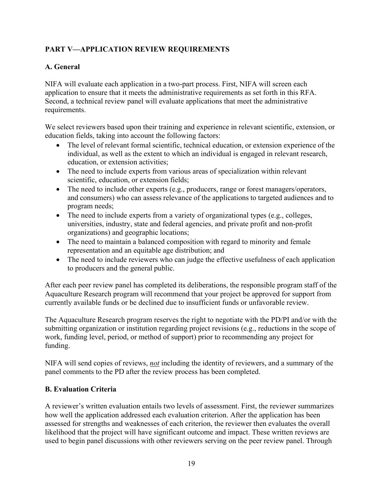### <span id="page-18-0"></span>**PART V—APPLICATION REVIEW REQUIREMENTS**

#### <span id="page-18-1"></span>**A. General**

NIFA will evaluate each application in a two-part process. First, NIFA will screen each application to ensure that it meets the administrative requirements as set forth in this RFA. Second, a technical review panel will evaluate applications that meet the administrative requirements.

We select reviewers based upon their training and experience in relevant scientific, extension, or education fields, taking into account the following factors:

- The level of relevant formal scientific, technical education, or extension experience of the individual, as well as the extent to which an individual is engaged in relevant research, education, or extension activities;
- The need to include experts from various areas of specialization within relevant scientific, education, or extension fields;
- The need to include other experts (e.g., producers, range or forest managers/operators, and consumers) who can assess relevance of the applications to targeted audiences and to program needs;
- The need to include experts from a variety of organizational types (e.g., colleges, universities, industry, state and federal agencies, and private profit and non-profit organizations) and geographic locations;
- The need to maintain a balanced composition with regard to minority and female representation and an equitable age distribution; and
- The need to include reviewers who can judge the effective usefulness of each application to producers and the general public.

After each peer review panel has completed its deliberations, the responsible program staff of the Aquaculture Research program will recommend that your project be approved for support from currently available funds or be declined due to insufficient funds or unfavorable review.

The Aquaculture Research program reserves the right to negotiate with the PD/PI and/or with the submitting organization or institution regarding project revisions (e.g., reductions in the scope of work, funding level, period, or method of support) prior to recommending any project for funding.

NIFA will send copies of reviews, *not* including the identity of reviewers, and a summary of the panel comments to the PD after the review process has been completed.

#### <span id="page-18-2"></span>**B. Evaluation Criteria**

A reviewer's written evaluation entails two levels of assessment. First, the reviewer summarizes how well the application addressed each evaluation criterion. After the application has been assessed for strengths and weaknesses of each criterion, the reviewer then evaluates the overall likelihood that the project will have significant outcome and impact. These written reviews are used to begin panel discussions with other reviewers serving on the peer review panel. Through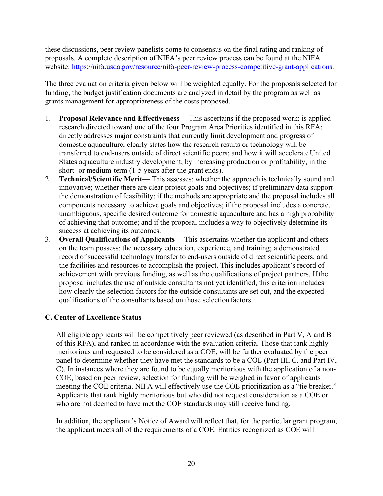these discussions, peer review panelists come to consensus on the final rating and ranking of proposals. A complete description of NIFA's peer review process can be found at the NIFA website: [https://nifa.usda.gov/resource/nifa-peer-review-process-competitive-grant-applications.](https://nifa.usda.gov/resource/nifa-peer-review-process-competitive-grant-applications)

The three evaluation criteria given below will be weighted equally. For the proposals selected for funding, the budget justification documents are analyzed in detail by the program as well as grants management for appropriateness of the costs proposed.

- 1. **Proposal Relevance and Effectiveness** This ascertains if the proposed work: is applied research directed toward one of the four Program Area Priorities identified in this RFA; directly addresses major constraints that currently limit development and progress of domestic aquaculture; clearly states how the research results or technology will be transferred to end-users outside of direct scientific peers; and how it will accelerate United States aquaculture industry development, by increasing production or profitability, in the short- or medium-term (1-5 years after the grant ends).
- 2. **Technical/Scientific Merit** This assesses: whether the approach is technically sound and innovative; whether there are clear project goals and objectives; if preliminary data support the demonstration of feasibility; if the methods are appropriate and the proposal includes all components necessary to achieve goals and objectives; if the proposal includes a concrete, unambiguous, specific desired outcome for domestic aquaculture and has a high probability of achieving that outcome; and if the proposal includes a way to objectively determine its success at achieving its outcomes.
- 3. **Overall Qualifications of Applicants** This ascertains whether the applicant and others on the team possess: the necessary education, experience, and training; a demonstrated record of successful technology transfer to end-users outside of direct scientific peers; and the facilities and resources to accomplish the project. This includes applicant's record of achievement with previous funding, as well as the qualifications of project partners. If the proposal includes the use of outside consultants not yet identified, this criterion includes how clearly the selection factors for the outside consultants are set out, and the expected qualifications of the consultants based on those selection factors.

#### <span id="page-19-0"></span>**C. Center of Excellence Status**

All eligible applicants will be competitively peer reviewed (as described in Part V, A and B of this RFA), and ranked in accordance with the evaluation criteria. Those that rank highly meritorious and requested to be considered as a COE, will be further evaluated by the peer panel to determine whether they have met the standards to be a COE (Part III, C. and Part IV, C). In instances where they are found to be equally meritorious with the application of a non-COE, based on peer review, selection for funding will be weighed in favor of applicants meeting the COE criteria. NIFA will effectively use the COE prioritization as a "tie breaker." Applicants that rank highly meritorious but who did not request consideration as a COE or who are not deemed to have met the COE standards may still receive funding.

In addition, the applicant's Notice of Award will reflect that, for the particular grant program, the applicant meets all of the requirements of a COE. Entities recognized as COE will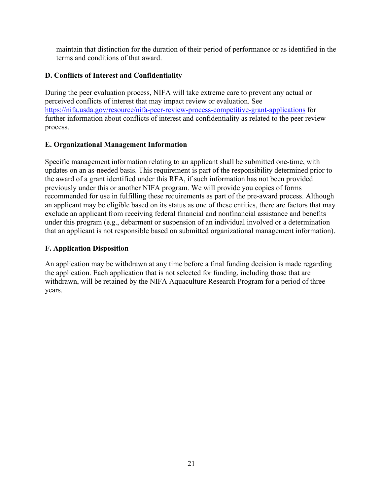maintain that distinction for the duration of their period of performance or as identified in the terms and conditions of that award.

#### <span id="page-20-0"></span>**D. Conflicts of Interest and Confidentiality**

During the peer evaluation process, NIFA will take extreme care to prevent any actual or perceived conflicts of interest that may impact review or evaluation. See <https://nifa.usda.gov/resource/nifa-peer-review-process-competitive-grant-applications> for further information about conflicts of interest and confidentiality as related to the peer review process.

#### <span id="page-20-1"></span>**E. Organizational Management Information**

Specific management information relating to an applicant shall be submitted one-time, with updates on an as-needed basis. This requirement is part of the responsibility determined prior to the award of a grant identified under this RFA, if such information has not been provided previously under this or another NIFA program. We will provide you copies of forms recommended for use in fulfilling these requirements as part of the pre-award process. Although an applicant may be eligible based on its status as one of these entities, there are factors that may exclude an applicant from receiving federal financial and nonfinancial assistance and benefits under this program (e.g., debarment or suspension of an individual involved or a determination that an applicant is not responsible based on submitted organizational management information).

#### <span id="page-20-2"></span>**F. Application Disposition**

An application may be withdrawn at any time before a final funding decision is made regarding the application. Each application that is not selected for funding, including those that are withdrawn, will be retained by the NIFA Aquaculture Research Program for a period of three years.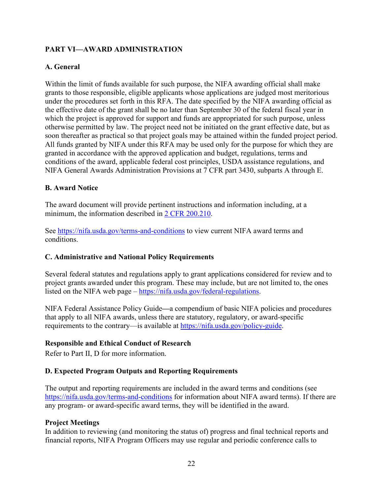#### <span id="page-21-0"></span>**PART VI—AWARD ADMINISTRATION**

#### <span id="page-21-1"></span>**A. General**

Within the limit of funds available for such purpose, the NIFA awarding official shall make grants to those responsible, eligible applicants whose applications are judged most meritorious under the procedures set forth in this RFA. The date specified by the NIFA awarding official as the effective date of the grant shall be no later than September 30 of the federal fiscal year in which the project is approved for support and funds are appropriated for such purpose, unless otherwise permitted by law. The project need not be initiated on the grant effective date, but as soon thereafter as practical so that project goals may be attained within the funded project period. All funds granted by NIFA under this RFA may be used only for the purpose for which they are granted in accordance with the approved application and budget, regulations, terms and conditions of the award, applicable federal cost principles, USDA assistance regulations, and NIFA General Awards Administration Provisions at 7 CFR part 3430, subparts A through E.

#### <span id="page-21-2"></span>**B. Award Notice**

The award document will provide pertinent instructions and information including, at a minimum, the information described in [2 CFR 200.210.](https://www.govinfo.gov/app/details/CFR-2019-title2-vol1/CFR-2019-title2-vol1-sec200-210)

See [https://nifa.usda.gov/terms-and-conditions t](https://nifa.usda.gov/terms-and-conditions)o view current NIFA award terms and conditions.

#### <span id="page-21-3"></span>**C. Administrative and National Policy Requirements**

Several federal statutes and regulations apply to grant applications considered for review and to project grants awarded under this program. These may include, but are not limited to, the ones listed on the NIFA web page – [https://nifa.usda.gov/federal-regulations.](https://nifa.usda.gov/federal-regulations)

NIFA Federal Assistance Policy Guide**—**a compendium of basic NIFA policies and procedures that apply to all NIFA awards, unless there are statutory, regulatory, or award-specific requirements to the contrary—is available at [https://nifa.usda.gov/policy-guide.](https://nifa.usda.gov/policy-guide)

#### **Responsible and Ethical Conduct of Research**

Refer to Part II, D for more information.

#### <span id="page-21-4"></span>**D. Expected Program Outputs and Reporting Requirements**

The output and reporting requirements are included in the award terms and conditions (see [https://nifa.usda.gov/terms-and-conditions f](https://nifa.usda.gov/terms-and-conditions)or information about NIFA award terms). If there are any program- or award-specific award terms, they will be identified in the award.

#### **Project Meetings**

In addition to reviewing (and monitoring the status of) progress and final technical reports and financial reports, NIFA Program Officers may use regular and periodic conference calls to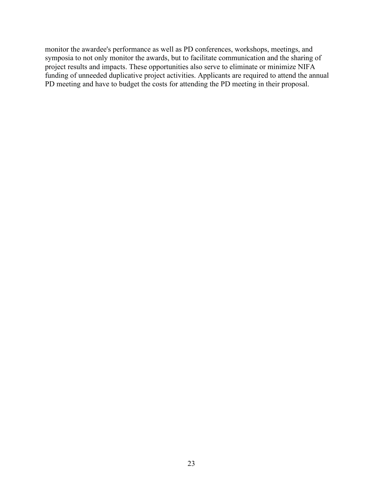monitor the awardee's performance as well as PD conferences, workshops, meetings, and symposia to not only monitor the awards, but to facilitate communication and the sharing of project results and impacts. These opportunities also serve to eliminate or minimize NIFA funding of unneeded duplicative project activities. Applicants are required to attend the annual PD meeting and have to budget the costs for attending the PD meeting in their proposal.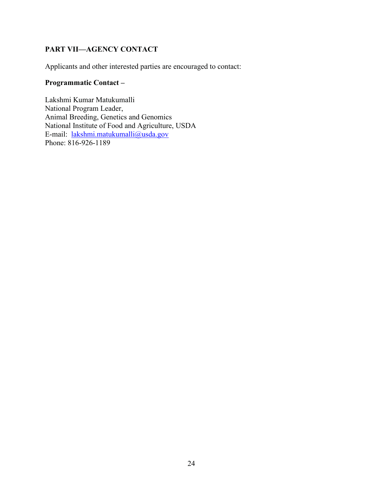#### <span id="page-23-0"></span>**PART VII—AGENCY CONTACT**

Applicants and other interested parties are encouraged to contact:

#### **Programmatic Contact –**

Lakshmi Kumar Matukumalli National Program Leader, Animal Breeding, Genetics and Genomics National Institute of Food and Agriculture, USDA E-mail: [lakshmi.matukumalli@usda.gov](mailto:lakshmi.matukumalli@usda.gov) Phone: 816-926-1189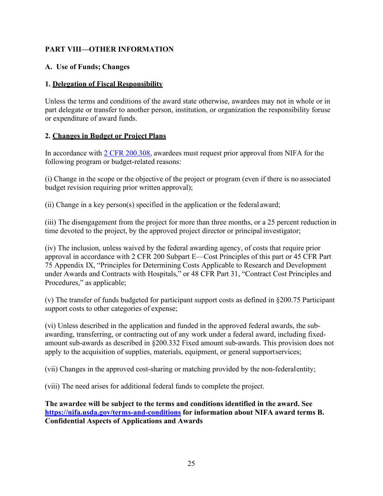#### <span id="page-24-0"></span>**PART VIII—OTHER INFORMATION**

#### <span id="page-24-1"></span>**A. Use of Funds; Changes**

#### **1. Delegation of Fiscal Responsibility**

Unless the terms and conditions of the award state otherwise, awardees may not in whole or in part delegate or transfer to another person, institution, or organization the responsibility foruse or expenditure of award funds.

#### **2. Changes in Budget or Project Plans**

In accordance with [2 CFR 200.308,](https://www.govinfo.gov/app/details/CFR-2019-title2-vol1/CFR-2019-title2-vol1-sec200-308/summary) awardees must request prior approval from NIFA for the following program or budget-related reasons:

(i) Change in the scope or the objective of the project or program (even if there is no associated budget revision requiring prior written approval);

(ii) Change in a key person(s) specified in the application or the federal award;

(iii) The disengagement from the project for more than three months, or a 25 percent reduction in time devoted to the project, by the approved project director or principal investigator;

(iv) The inclusion, unless waived by the federal awarding agency, of costs that require prior approval in accordance with 2 CFR 200 Subpart E—Cost Principles of this part or 45 CFR Part 75 Appendix IX, "Principles for Determining Costs Applicable to Research and Development under Awards and Contracts with Hospitals," or 48 CFR Part 31, "Contract Cost Principles and Procedures," as applicable;

(v) The transfer of funds budgeted for participant support costs as defined in §200.75 Participant support costs to other categories of expense;

(vi) Unless described in the application and funded in the approved federal awards, the subawarding, transferring, or contracting out of any work under a federal award, including fixedamount sub-awards as described in §200.332 Fixed amount sub-awards. This provision does not apply to the acquisition of supplies, materials, equipment, or general supportservices;

(vii) Changes in the approved cost-sharing or matching provided by the non-federalentity;

(viii) The need arises for additional federal funds to complete the project.

**The awardee will be subject to the terms and conditions identified in the award. See <https://nifa.usda.gov/terms-and-conditions> for information about NIFA award terms B. Confidential Aspects of Applications and Awards**